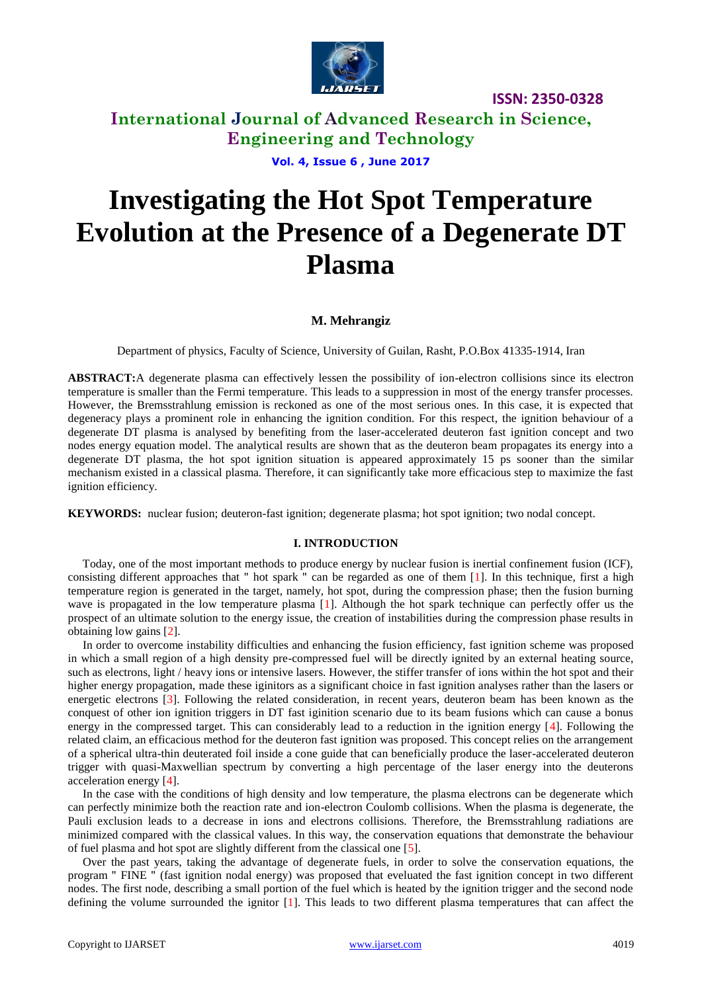

# **International Journal of Advanced Research in Science, Engineering and Technology**

**Vol. 4, Issue 6 , June 2017**

# **Investigating the Hot Spot Temperature Evolution at the Presence of a Degenerate DT Plasma**

### **M. Mehrangiz**

Department of physics, Faculty of Science, University of Guilan, Rasht, P.O.Box 41335-1914, Iran

**ABSTRACT:**A degenerate plasma can effectively lessen the possibility of ion-electron collisions since its electron temperature is smaller than the Fermi temperature. This leads to a suppression in most of the energy transfer processes. However, the Bremsstrahlung emission is reckoned as one of the most serious ones. In this case, it is expected that degeneracy plays a prominent role in enhancing the ignition condition. For this respect, the ignition behaviour of a degenerate DT plasma is analysed by benefiting from the laser-accelerated deuteron fast ignition concept and two nodes energy equation model. The analytical results are shown that as the deuteron beam propagates its energy into a degenerate DT plasma, the hot spot ignition situation is appeared approximately 15 ps sooner than the similar mechanism existed in a classical plasma. Therefore, it can significantly take more efficacious step to maximize the fast ignition efficiency.

**KEYWORDS:** nuclear fusion; deuteron-fast ignition; degenerate plasma; hot spot ignition; two nodal concept.

### **I. INTRODUCTION**

 Today, one of the most important methods to produce energy by nuclear fusion is inertial confinement fusion (ICF), consisting different approaches that " hot spark " can be regarded as one of them [1]. In this technique, first a high temperature region is generated in the target, namely, hot spot, during the compression phase; then the fusion burning wave is propagated in the low temperature plasma [1]. Although the hot spark technique can perfectly offer us the prospect of an ultimate solution to the energy issue, the creation of instabilities during the compression phase results in obtaining low gains [2].

 In order to overcome instability difficulties and enhancing the fusion efficiency, fast ignition scheme was proposed in which a small region of a high density pre-compressed fuel will be directly ignited by an external heating source, such as electrons, light / heavy ions or intensive lasers. However, the stiffer transfer of ions within the hot spot and their higher energy propagation, made these iginitors as a significant choice in fast ignition analyses rather than the lasers or energetic electrons [3]. Following the related consideration, in recent years, deuteron beam has been known as the conquest of other ion ignition triggers in DT fast iginition scenario due to its beam fusions which can cause a bonus energy in the compressed target. This can considerably lead to a reduction in the ignition energy [4]. Following the related claim, an efficacious method for the deuteron fast ignition was proposed. This concept relies on the arrangement of a spherical ultra-thin deuterated foil inside a cone guide that can beneficially produce the laser-accelerated deuteron trigger with quasi-Maxwellian spectrum by converting a high percentage of the laser energy into the deuterons acceleration energy [4].

 In the case with the conditions of high density and low temperature, the plasma electrons can be degenerate which can perfectly minimize both the reaction rate and ion-electron Coulomb collisions. When the plasma is degenerate, the Pauli exclusion leads to a decrease in ions and electrons collisions. Therefore, the Bremsstrahlung radiations are minimized compared with the classical values. In this way, the conservation equations that demonstrate the behaviour of fuel plasma and hot spot are slightly different from the classical one [5].

 Over the past years, taking the advantage of degenerate fuels, in order to solve the conservation equations, the program " FINE " (fast ignition nodal energy) was proposed that eveluated the fast ignition concept in two different nodes. The first node, describing a small portion of the fuel which is heated by the ignition trigger and the second node defining the volume surrounded the ignitor [1]. This leads to two different plasma temperatures that can affect the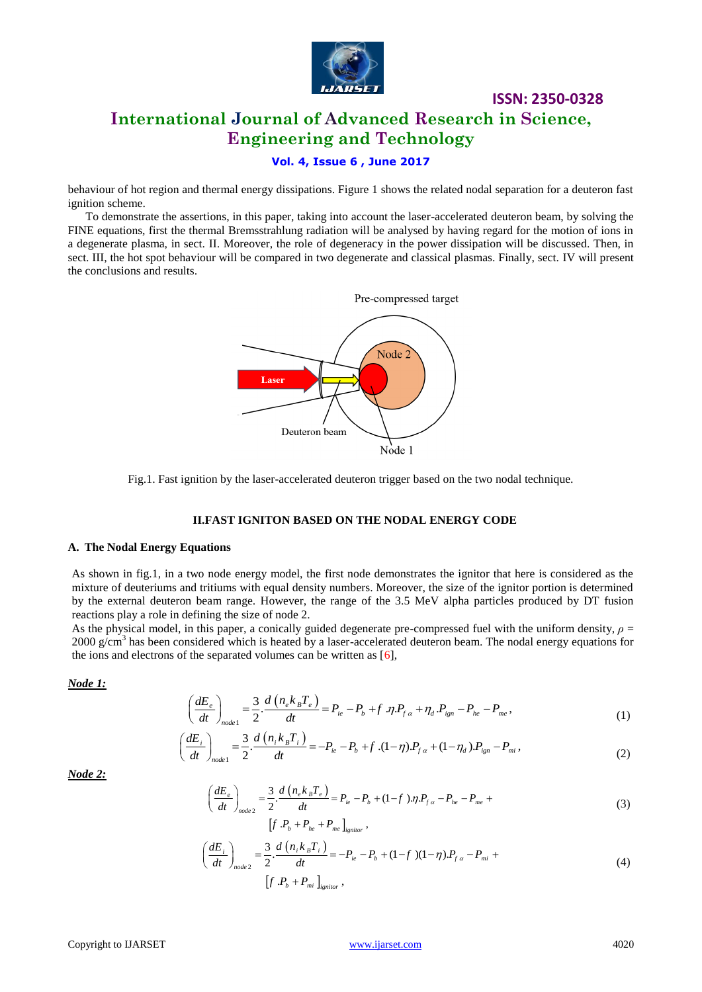

# **International Journal of Advanced Research in Science, Engineering and Technology**

**ISSN: 2350-0328**

## **Vol. 4, Issue 6 , June 2017**

behaviour of hot region and thermal energy dissipations. Figure 1 shows the related nodal separation for a deuteron fast ignition scheme.

 To demonstrate the assertions, in this paper, taking into account the laser-accelerated deuteron beam, by solving the FINE equations, first the thermal Bremsstrahlung radiation will be analysed by having regard for the motion of ions in a degenerate plasma, in sect. II. Moreover, the role of degeneracy in the power dissipation will be discussed. Then, in sect. III, the hot spot behaviour will be compared in two degenerate and classical plasmas. Finally, sect. IV will present the conclusions and results.



Fig.1. Fast ignition by the laser-accelerated deuteron trigger based on the two nodal technique.

### **II.FAST IGNITON BASED ON THE NODAL ENERGY CODE**

### **A. The Nodal Energy Equations**

As shown in fig.1, in a two node energy model, the first node demonstrates the ignitor that here is considered as the mixture of deuteriums and tritiums with equal density numbers. Moreover, the size of the ignitor portion is determined by the external deuteron beam range. However, the range of the 3.5 MeV alpha particles produced by DT fusion reactions play a role in defining the size of node 2.

As the physical model, in this paper, a conically guided degenerate pre-compressed fuel with the uniform density,  $\rho =$ 2000 g/cm<sup>3</sup> has been considered which is heated by a laser-accelerated deuteron beam. The nodal energy equations for the ions and electrons of the separated volumes can be written as  $[6]$ ,

*Node 1:* 

$$
\left(\frac{dE_e}{dt}\right)_{node1} = \frac{3}{2} \cdot \frac{d\left(n_e k_B T_e\right)}{dt} = P_{ie} - P_b + f \cdot \eta P_{fa} + \eta_d P_{ign} - P_{he} - P_{me},
$$
\n
$$
\left(\frac{dE_i}{dt}\right)_{node1} = \frac{3}{2} \cdot \frac{d\left(n_i k_B T_i\right)}{dt} = -P_{ie} - P_b + f \cdot (1 - \eta) P_{fa} + (1 - \eta_d) P_{ign} - P_{mi},
$$
\n(2)

$$
\left(\frac{dE_e}{dt}\right)_{node1} = \frac{3}{2} \cdot \frac{d\left(n_e \kappa_B T_e\right)}{dt} = P_{ie} - P_b + f \cdot \eta P_{fa} + \eta_d P_{ign} - P_{he} - P_{me},
$$
\n
$$
\left(\frac{dE_i}{dt}\right)_{node1} = \frac{3}{2} \cdot \frac{d\left(n_i k_B T_i\right)}{dt} = -P_{ie} - P_b + f \cdot (1-\eta) P_{fa} + (1-\eta_d) P_{ign} - P_{mi},
$$
\n(2)

*Node 2:* 

$$
\int_{node1}^{1} \frac{dE_e}{dt} = \frac{3}{2} \cdot \frac{d\left(n_e k_B T_e\right)}{dt} = P_{ie} - P_b + (1 - f) \cdot \eta P_{fa} - P_{he} - P_{me} + \left[f \cdot P_b + P_{he} + P_{me}\right]_{ignior},
$$
\n(3)

$$
\left[ f \cdot P_b + P_{he} + P_{me} \right]_{\text{ignitor}},
$$
\n
$$
\left( \frac{dE_i}{dt} \right)_{\text{node 2}} = \frac{3}{2} \cdot \frac{d \left( n_i k_B T_i \right)}{dt} = -P_{ie} - P_b + (1 - f)(1 - \eta) P_{fa} - P_{mi} + (4)
$$
\n(4)

$$
P_{node2} = \frac{3}{2} \cdot \frac{d (n_i k_B I_i)}{dt} = -P_{ie} - P_b + (1 - f)(1 - \eta) \cdot P_{fa} - P_{mi} +
$$
\n
$$
\left[ f \cdot P_b + P_{mi} \right]_{ignitor},
$$
\n(4)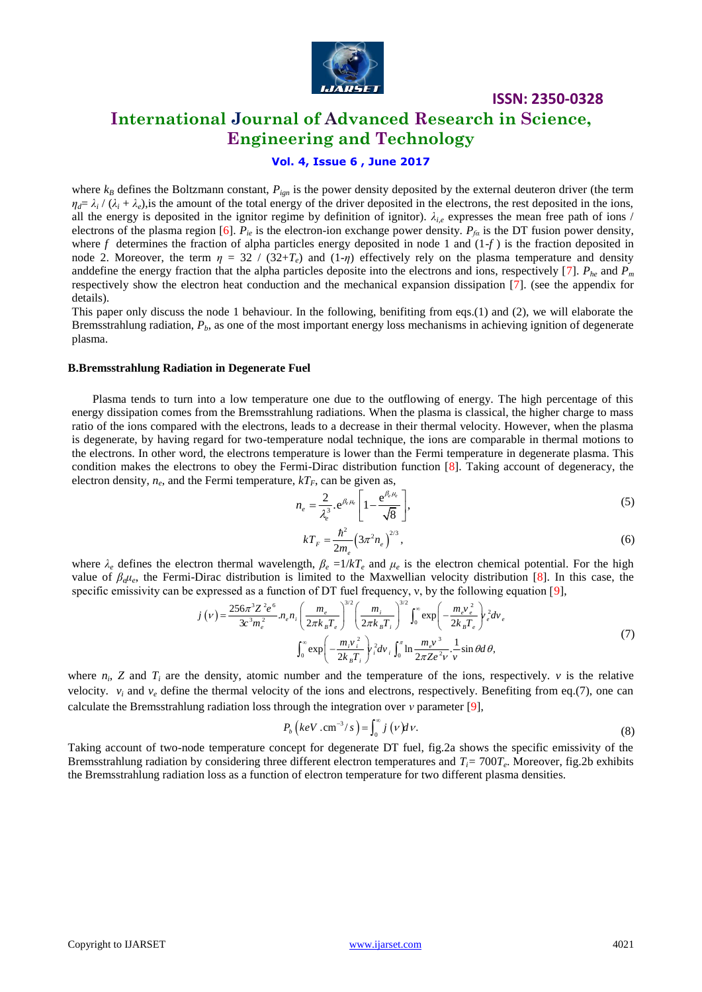

# **International Journal of Advanced Research in Science, Engineering and Technology**

### **Vol. 4, Issue 6 , June 2017**

where  $k_B$  defines the Boltzmann constant,  $P_{ien}$  is the power density deposited by the external deuteron driver (the term  $\eta_d = \lambda_i / (\lambda_i + \lambda_e)$ , is the amount of the total energy of the driver deposited in the electrons, the rest deposited in the ions, all the energy is deposited in the ignitor regime by definition of ignitor). *λi,e* expresses the mean free path of ions / electrons of the plasma region [6].  $P_{ie}$  is the electron-ion exchange power density.  $P_{fa}$  is the DT fusion power density, where  $f$  determines the fraction of alpha particles energy deposited in node 1 and  $(1-f)$  is the fraction deposited in node 2. Moreover, the term  $\eta = 32 / (32 + T_e)$  and  $(1-\eta)$  effectively rely on the plasma temperature and density and define the energy fraction that the alpha particles deposite into the electrons and ions, respectively [7].  $P_{he}$  and  $P_m$ respectively show the electron heat conduction and the mechanical expansion dissipation [7]. (see the appendix for details).

This paper only discuss the node 1 behaviour. In the following, benifiting from eqs.(1) and (2), we will elaborate the Bremsstrahlung radiation, *Pb*, as one of the most important energy loss mechanisms in achieving ignition of degenerate plasma.

#### **B.Bremsstrahlung Radiation in Degenerate Fuel**

 Plasma tends to turn into a low temperature one due to the outflowing of energy. The high percentage of this energy dissipation comes from the Bremsstrahlung radiations. When the plasma is classical, the higher charge to mass ratio of the ions compared with the electrons, leads to a decrease in their thermal velocity. However, when the plasma is degenerate, by having regard for two-temperature nodal technique, the ions are comparable in thermal motions to the electrons. In other word, the electrons temperature is lower than the Fermi temperature in degenerate plasma. This condition makes the electrons to obey the Fermi-Dirac distribution function [8]. Taking account of degeneracy, the electron density,  $n_e$ , and the Fermi temperature,  $kT_F$ , can be given as,

$$
n_e = \frac{2}{\lambda_e^3} \cdot e^{\beta_e \mu_e} \left[ 1 - \frac{e^{\beta_e \mu_e}}{\sqrt{8}} \right],
$$
 (5)

$$
kT_F = \frac{\hbar^2}{2m_e} \left(3\pi^2 n_e\right)^{2/3},\tag{6}
$$

where  $\lambda_e$  defines the electron thermal wavelength,  $\beta_e = 1/kT_e$  and  $\mu_e$  is the electron chemical potential. For the high value of  $\beta_e\mu_e$ , the Fermi-Dirac distribution is limited to the Maxwellian velocity distribution [8]. In this case, the specific emissivity can be expressed as a function of DT fuel frequency, v, by the following equati

value of 
$$
p_e\mu_e
$$
, the Fermi-Dirac distribution is limited to the Maxwellian velocity distribution [8]. In this case, the  
specific emissivity can be expressed as a function of DT fuel frequency, v, by the following equation [9],  

$$
j(v) = \frac{256\pi^3 Z^2 e^6}{3c^3 m_e^2} n_e n_i \left(\frac{m_e}{2\pi k_B T_e}\right)^{3/2} \left(\frac{m_i}{2\pi k_B T_e}\right)^{3/2} \int_0^\infty \exp\left(-\frac{m_e v_e^2}{2k_B T_e}\right) r_e^2 dv_e
$$
(7)  

$$
\int_0^\infty \exp\left(-\frac{m_i v_i^2}{2k_B T_i}\right) r_i^2 dv_i \int_0^\pi \ln \frac{m_e v^3}{2\pi Z e^2 v} \cdot \frac{1}{v} \sin \theta d\theta,
$$

where  $n_i$ ,  $Z$  and  $T_i$  are the density, atomic number and the temperature of the ions, respectively.  $v$  is the relative velocity.  $v_i$  and  $v_e$  define the thermal velocity of the ions and electrons, respectively. Benefiting from eq.(7), one can calculate the Bremsstrahlung radiation loss through the integration over *ν* parameter [9],

$$
P_b\left(keV\ldots\text{cm}^{-3}/s\right) = \int_0^\infty j\left(v\right)dv.
$$
\n(8)

Taking account of two-node temperature concept for degenerate DT fuel, fig.2a shows the specific emissivity of the Bremsstrahlung radiation by considering three different electron temperatures and *Ti=* 700*T<sup>e</sup>* . Moreover, fig.2b exhibits the Bremsstrahlung radiation loss as a function of electron temperature for two different plasma densities.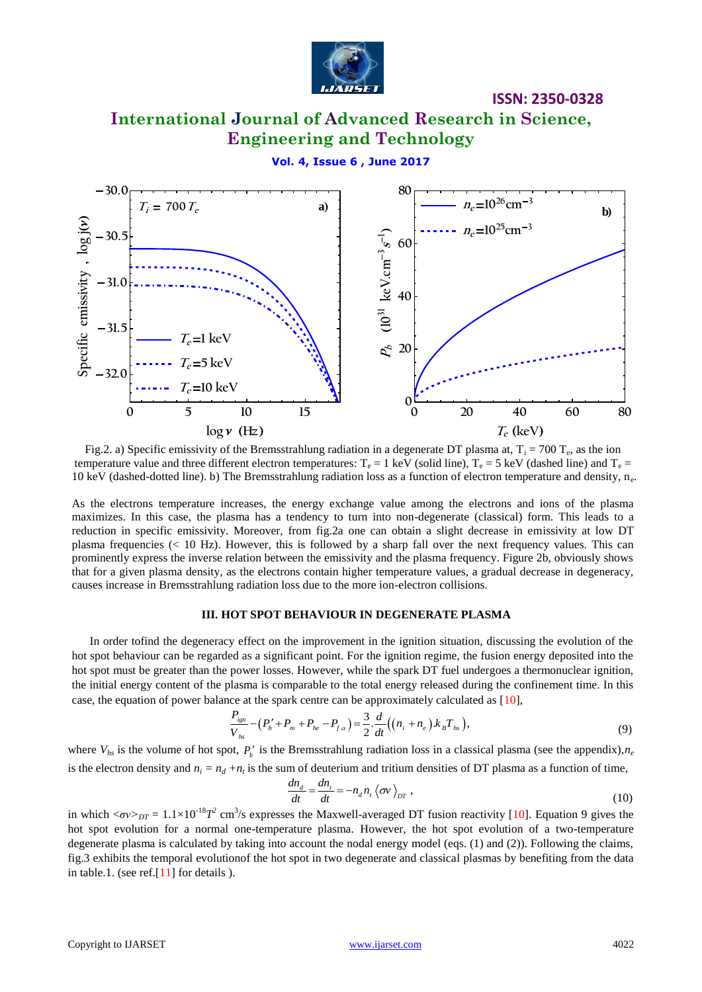

# **International Journal of Advanced Research in Science, Engineering and Technology**

### **Vol. 4, Issue 6 , June 2017**



Fig.2. a) Specific emissivity of the Bremsstrahlung radiation in a degenerate DT plasma at,  $T_i = 700 T_e$ , as the ion temperature value and three different electron temperatures:  $T_e = 1 \text{ keV}$  (solid line),  $T_e = 5 \text{ keV}$  (dashed line) and  $T_e =$ 10 keV (dashed-dotted line). b) The Bremsstrahlung radiation loss as a function of electron temperature and density, n<sup>e</sup> .

As the electrons temperature increases, the energy exchange value among the electrons and ions of the plasma maximizes. In this case, the plasma has a tendency to turn into non-degenerate (classical) form. This leads to a reduction in specific emissivity. Moreover, from fig.2a one can obtain a slight decrease in emissivity at low DT plasma frequencies (< 10 Hz). However, this is followed by a sharp fall over the next frequency values. This can prominently express the inverse relation between the emissivity and the plasma frequency. Figure 2b, obviously shows that for a given plasma density, as the electrons contain higher temperature values, a gradual decrease in degeneracy, causes increase in Bremsstrahlung radiation loss due to the more ion-electron collisions.

#### **III. HOT SPOT BEHAVIOUR IN DEGENERATE PLASMA**

 In order tofind the degeneracy effect on the improvement in the ignition situation, discussing the evolution of the hot spot behaviour can be regarded as a significant point. For the ignition regime, the fusion energy deposited into the hot spot must be greater than the power losses. However, while the spark DT fuel undergoes a thermonuclear ignition, the initial energy content of the plasma is comparable to the total energy released during the confinement time. In this

case, the equation of power balance at the spark centre can be approximately calculated as [10],  
\n
$$
\frac{P_{ijm}}{V_{hs}} - (P_b' + P_m + P_{he} - P_{fa}) = \frac{3}{2} \cdot \frac{d}{dt} ((n_i + n_e) \cdot k_B T_{hs}),
$$
\n(9)

where  $V_{hs}$  is the volume of hot spot,  $P_b'$  is the Bremsstrahlung radiation loss in a classical plasma (see the appendix), $n_e$ is the electron density and  $n_i = n_d + n_t$  is the sum of deuterium and tritium densities of DT plasma as a function of time,<br> $dn_d = dn_t = -n \cdot n / \sqrt{m}$ .

$$
\frac{dn_d}{dt} = \frac{dn_t}{dt} = -n_d n_t \left\langle \sigma v \right\rangle_{DT},\tag{10}
$$

in which  $\langle \sigma v \rangle_{DT} = 1.1 \times 10^{-18} T^2$  cm<sup>3</sup>/s expresses the Maxwell-averaged DT fusion reactivity [10]. Equation 9 gives the hot spot evolution for a normal one-temperature plasma. However, the hot spot evolution of a two-temperature degenerate plasma is calculated by taking into account the nodal energy model (eqs. (1) and (2)). Following the claims, fig.3 exhibits the temporal evolutionof the hot spot in two degenerate and classical plasmas by benefiting from the data in table.1. (see ref.[11] for details ).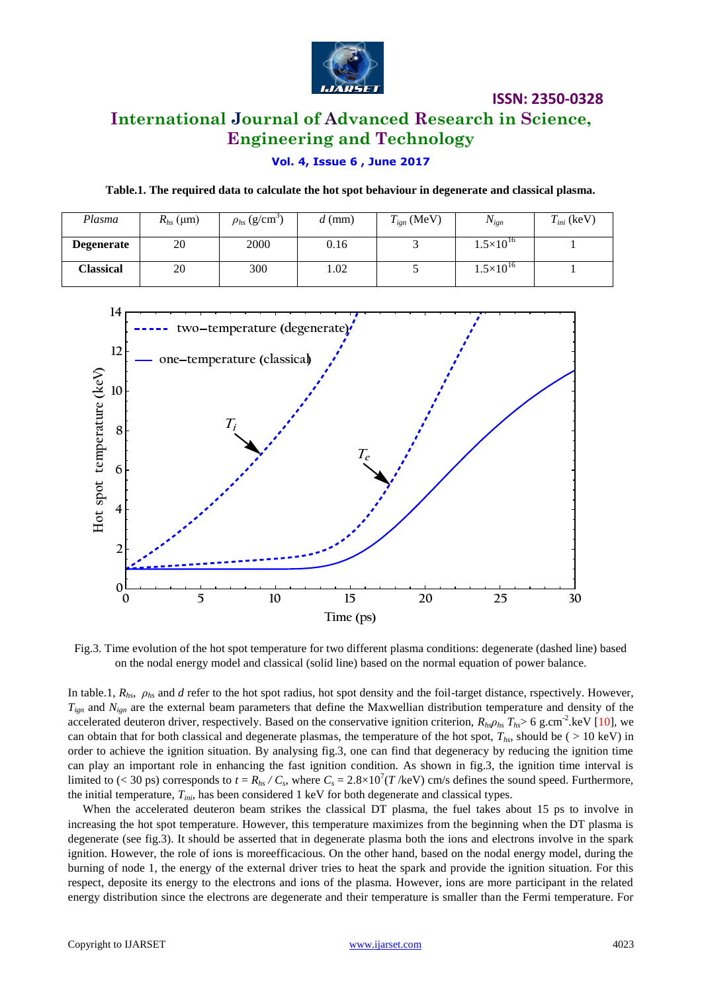

# **International Journal of Advanced Research in Science, Engineering and Technology**

### **Vol. 4, Issue 6 , June 2017**

**Table.1. The required data to calculate the hot spot behaviour in degenerate and classical plasma.**

| Plasma            | $R_{hs}$ (µm) | $\rho_{hs}$ (g/cm <sup>-</sup> ) | $d$ (mm) | $T_{ign}$ (MeV) | $N_{ign}$            | $T_{ini}$ (keV) |
|-------------------|---------------|----------------------------------|----------|-----------------|----------------------|-----------------|
| <b>Degenerate</b> | 20            | 2000                             | 0.16     |                 | $1.5 \times 10^{16}$ |                 |
| Classical         | 20            | 300                              | 1.02     |                 | $1.5\times10^{16}$   |                 |



Fig.3. Time evolution of the hot spot temperature for two different plasma conditions: degenerate (dashed line) based on the nodal energy model and classical (solid line) based on the normal equation of power balance.

In table.1,  $R_{hs}$ ,  $\rho_{hs}$  and *d* refer to the hot spot radius, hot spot density and the foil-target distance, rspectively. However,  $T_{ign}$  and  $N_{ign}$  are the external beam parameters that define the Maxwellian distribution temperature and density of the accelerated deuteron driver, respectively. Based on the conservative ignition criterion,  $R_{hs}\rho_{hs}T_{hs}$  6 g.cm<sup>-2</sup>.keV [10], we can obtain that for both classical and degenerate plasmas, the temperature of the hot spot,  $T_{hs}$ , should be (  $> 10 \text{ keV}$ ) in order to achieve the ignition situation. By analysing fig.3, one can find that degeneracy by reducing the ignition time can play an important role in enhancing the fast ignition condition. As shown in fig.3, the ignition time interval is limited to (< 30 ps) corresponds to  $t = R_{hs} / C_s$ , where  $C_s = 2.8 \times 10^7 (T/\text{keV})$  cm/s defines the sound speed. Furthermore, the initial temperature,  $T_{inj}$ , has been considered 1 keV for both degenerate and classical types.

 When the accelerated deuteron beam strikes the classical DT plasma, the fuel takes about 15 ps to involve in increasing the hot spot temperature. However, this temperature maximizes from the beginning when the DT plasma is degenerate (see fig.3). It should be asserted that in degenerate plasma both the ions and electrons involve in the spark ignition. However, the role of ions is moreefficacious. On the other hand, based on the nodal energy model, during the burning of node 1, the energy of the external driver tries to heat the spark and provide the ignition situation. For this respect, deposite its energy to the electrons and ions of the plasma. However, ions are more participant in the related energy distribution since the electrons are degenerate and their temperature is smaller than the Fermi temperature. For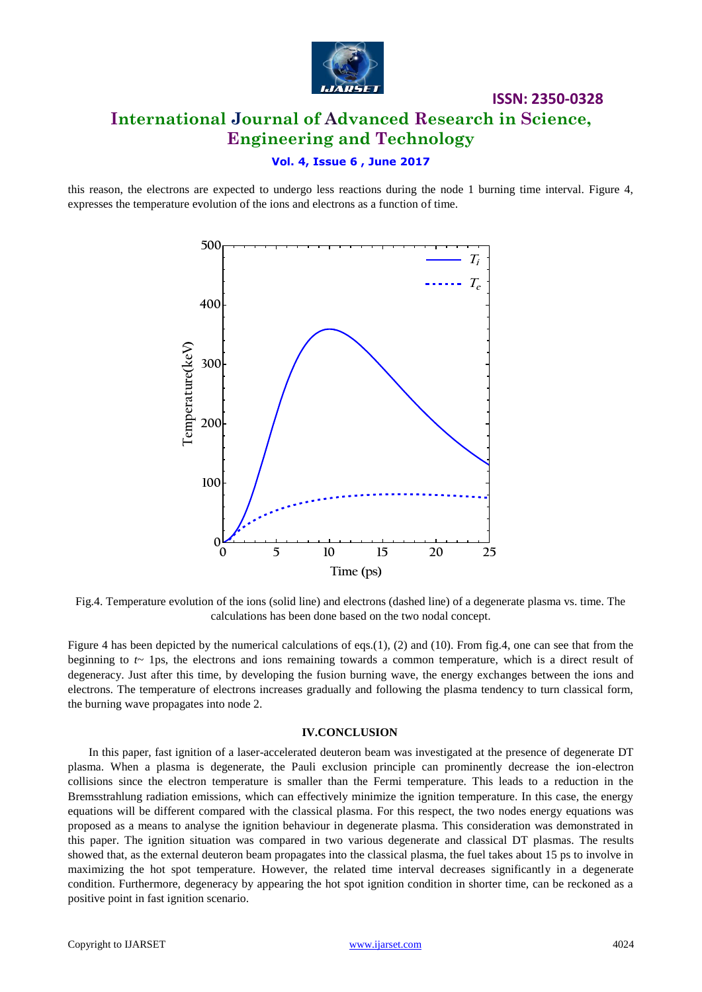

# **ISSN: 2350-0328 International Journal of Advanced Research in Science, Engineering and Technology**

### **Vol. 4, Issue 6 , June 2017**

this reason, the electrons are expected to undergo less reactions during the node 1 burning time interval. Figure 4, expresses the temperature evolution of the ions and electrons as a function of time.



Fig.4. Temperature evolution of the ions (solid line) and electrons (dashed line) of a degenerate plasma vs. time. The calculations has been done based on the two nodal concept.

Figure 4 has been depicted by the numerical calculations of eqs.(1), (2) and (10). From fig.4, one can see that from the beginning to *t*~ 1ps, the electrons and ions remaining towards a common temperature, which is a direct result of degeneracy. Just after this time, by developing the fusion burning wave, the energy exchanges between the ions and electrons. The temperature of electrons increases gradually and following the plasma tendency to turn classical form, the burning wave propagates into node 2.

### **IV.CONCLUSION**

 In this paper, fast ignition of a laser-accelerated deuteron beam was investigated at the presence of degenerate DT plasma. When a plasma is degenerate, the Pauli exclusion principle can prominently decrease the ion-electron collisions since the electron temperature is smaller than the Fermi temperature. This leads to a reduction in the Bremsstrahlung radiation emissions, which can effectively minimize the ignition temperature. In this case, the energy equations will be different compared with the classical plasma. For this respect, the two nodes energy equations was proposed as a means to analyse the ignition behaviour in degenerate plasma. This consideration was demonstrated in this paper. The ignition situation was compared in two various degenerate and classical DT plasmas. The results showed that, as the external deuteron beam propagates into the classical plasma, the fuel takes about 15 ps to involve in maximizing the hot spot temperature. However, the related time interval decreases significantly in a degenerate condition. Furthermore, degeneracy by appearing the hot spot ignition condition in shorter time, can be reckoned as a positive point in fast ignition scenario.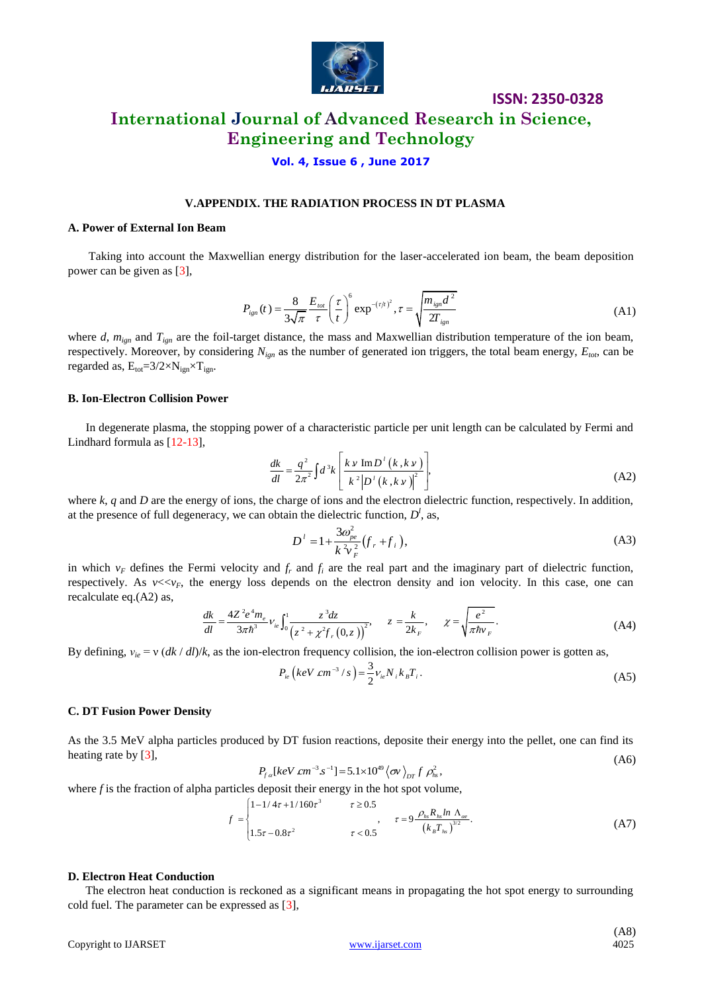

# **International Journal of Advanced Research in Science, Engineering and Technology**

### **Vol. 4, Issue 6 , June 2017**

### **V.APPENDIX. THE RADIATION PROCESS IN DT PLASMA**

#### **A. Power of External Ion Beam**

 Taking into account the Maxwellian energy distribution for the laser-accelerated ion beam, the beam deposition power can be given as [3],

$$
P_{ign}(t) = \frac{8}{3\sqrt{\pi}} \frac{E_{tot}}{\tau} \left(\frac{\tau}{t}\right)^6 \exp^{-(\tau/t)^2}, \tau = \sqrt{\frac{m_{ign}d^2}{2T_{ign}}} \tag{A1}
$$

**ISSN: 2350-0328**

where *d*,  $m_{ign}$  and  $T_{ign}$  are the foil-target distance, the mass and Maxwellian distribution temperature of the ion beam, respectively. Moreover, by considering *Nign* as the number of generated ion triggers, the total beam energy, *Etot*, can be regarded as,  $E_{tot} = 3/2 \times N_{ign} \times T_{ign}$ .

#### **B. Ion-Electron Collision Power**

 In degenerate plasma, the stopping power of a characteristic particle per unit length can be calculated by Fermi and Lindhard formula as [12-13],

$$
\frac{dk}{dl} = \frac{q^2}{2\pi^2} \int d^3k \left[ \frac{k v \operatorname{Im} D^{\dagger} (k, k v)}{k^2 |D^{\dagger} (k, k v)|^2} \right],
$$
\n(A2)

where *k*, *q* and *D* are the energy of ions, the charge of ions and the electron dielectric function, respectively. In addition, at the presence of full degeneracy, we can obtain the dielectric function,  $D<sup>l</sup>$ , as,

$$
D^{i} = 1 + \frac{3\omega_{pe}^{2}}{k^{2}v_{F}^{2}} (f_{r} + f_{i}),
$$
\n(A3)

in which  $v_F$  defines the Fermi velocity and  $f<sub>r</sub>$  and  $f<sub>i</sub>$  are the real part and the imaginary part of dielectric function, respectively. As *v*<<*v<sub>F</sub>*, the energy loss depends on the electron density and ion velocity. In this case, one can recalculate eq.(A2) as,<br> $\frac{dk}{dl} = \frac{4Z^2e^4m_e}{3\pi\hbar^3}v_{ie} \int_0^1 \frac{z^3dz}{(z^2 + x^2f_e/(0-z))^2}$ ,  $z = \frac{k}{2k_e}$ recalculate eq.(A2) as,  $e^{2}e^{4}m$ ,  $r^{1}$ ,  $z^{3}dz$   $k$   $\sqrt{e^{2}+e^{2}+f(z)}$ 

$$
\frac{dk}{dl} = \frac{4Z^2 e^4 m_e}{3\pi h^3} v_{ie} \int_0^1 \frac{z^3 dz}{(z^2 + \chi^2 f_r(0, z))^2}, \quad z = \frac{k}{2k_F}, \quad \chi = \sqrt{\frac{e^2}{\pi h v_F}}.
$$
 (A4)

By defining,  $v_i = v (dk/dt)/k$ , as the ion-electron frequency collision, the ion-electron collision power is gotten as,

$$
P_{ie} \left( keV \; cm^{-3} / s \right) = \frac{3}{2} v_{ie} N_i k_B T_i.
$$
 (A5)

#### **C. DT Fusion Power Density**

As the 3.5 MeV alpha particles produced by DT fusion reactions, deposite their energy into the pellet, one can find its heating rate by [3],  $P_{fa}$ [keV cm<sup>-3</sup> s<sup>-1</sup>] = 5.1×10<sup>49</sup>  $\langle \sigma v \rangle_{DT} f \rho_{hs}^2$ ,  $^{-3}$  s<sup>-1</sup>] = 5.1×10<sup>49</sup>  $\langle \sigma$ (A6)

$$
P_{fa}[keV \, cm^{-3} s^{-1}] = 5.1 \times 10^{49} \langle \sigma v \rangle_{DT} f \, \rho_{hs}^2,
$$

where *f* is the fraction of alpha particles deposit their energy in the hot spot volume,<br>  $\begin{bmatrix} 1 - 1/4\tau + 1/160\tau^3 & \tau \ge 0.5 \end{bmatrix}$ 

$$
f = \begin{cases} 1 - 1/4\tau + 1/160\tau^3 & \tau \ge 0.5\\ 1.5\tau - 0.8\tau^2 & \tau < 0.5 \end{cases}
$$

#### **D. Electron Heat Conduction**

 The electron heat conduction is reckoned as a significant means in propagating the hot spot energy to surrounding cold fuel. The parameter can be expressed as [3],

(A8)